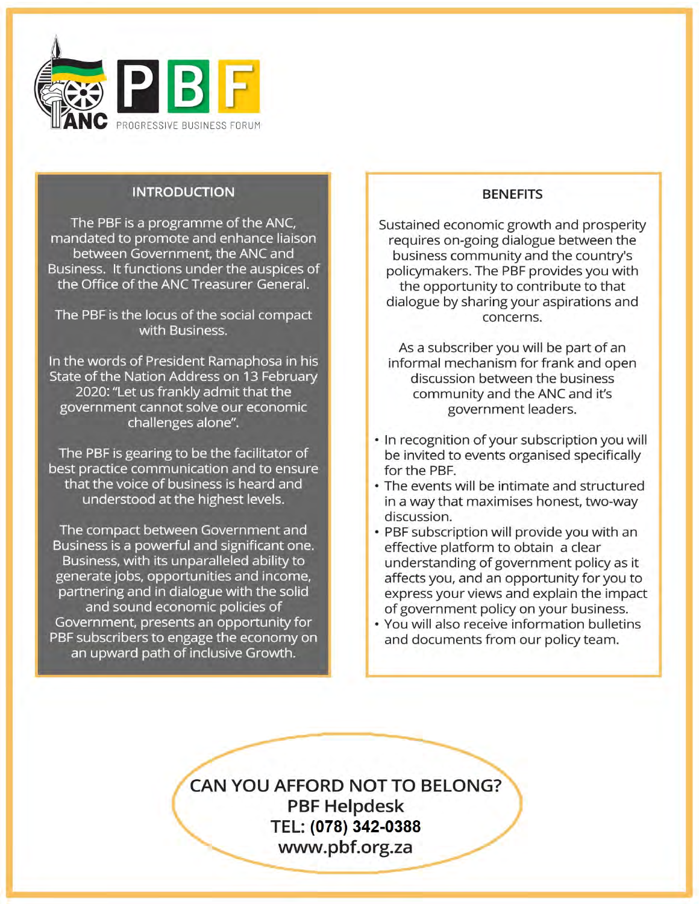

# **INTRODUCTION**

The PBF is a programme of the ANC,

The PBF is a programme of the ANC, mandated to promote and enhance liaison between Government, the ANC and Thess. Tenderon's drider the adspices EANC THE

The PBF is the locus of the social compact with Business.

e words of President Ramaphosa in State of the Nation Address on 13 February<br>2020: "Let us frankly admit that the government cannot solve our economic challenges alone". the voice of business is heard and

The PBF is gearing to be the facilitator of best practice communication and to ensure<br>that the voice of business is heard and Business is a powerful and since the powerful and significant one. Business, with the input states.

The compact between Government and Business is a powerful and significant one. Business, with its unparalleled ability to generate jobs, opportunities and income, partnering and in dialogue with the solid and sound economic policies of Government, presents an opportunity for PBF subscribers to engage the economy on an upward path of inclusive Growth.

## Sustained economic growth and prosperity **BENEFITS**

Sustained economic growth and prosperity requires on-going dialogue between the business community and the country's policymakers. The PBF provides you with the opportunity to contribute to that dialogue by sharing your aspirations and concerns.

As a subscriber you will be part of an informal mechanism for frank and open discussion between the business community and the ANC and it's government leaders.

- In recognition of your subscription you will be invited to events organised specifically for the PBF.
- The events will be intimate and structured y that maximises honest two wa the impact of government policy city on
- PBF subscription will provide you with an effective platform to obtain a clear understanding of government policy as it affects you, and an opportunity for you to express your views and explain the impact of government policy on your business.
- . You will also receive information bulletins and documents from our policy team.

TEL: 021 487 6121

**CAN YOU AFFORD NOT TO BELONG? PBF Helpdesk** TEL: (078) 342-0388 www.pbf.org.za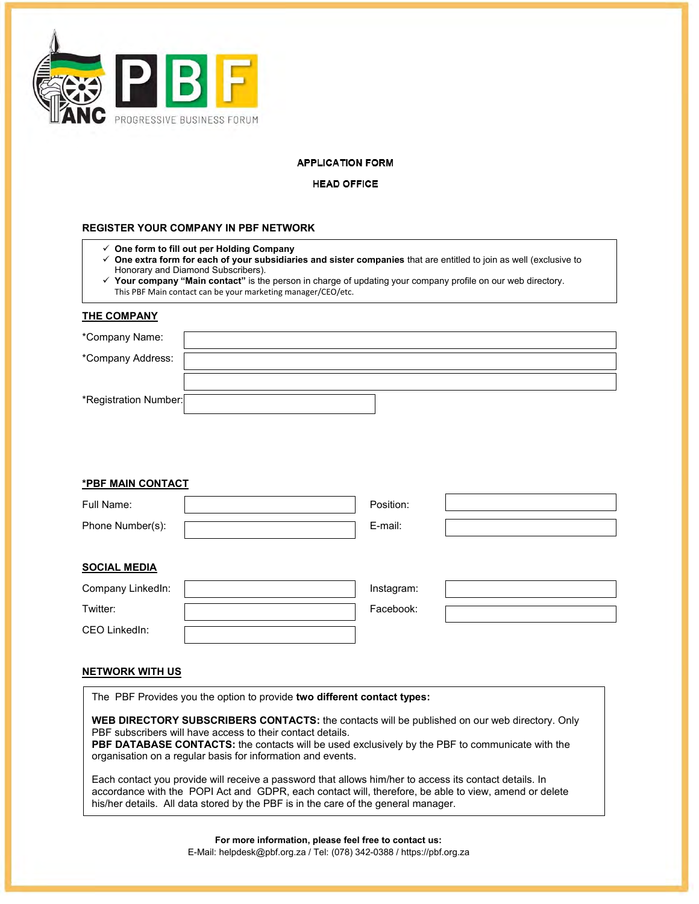

#### **APPLICATION FORM**

#### **HEAD OFFICE**

### **REGISTER YOUR COMPANY IN PBF NETWORK**

- **One form to fill out per Holding Company**
- **One extra form for each of your subsidiaries and sister companies** that are entitled to join as well (exclusive to Honorary and Diamond Subscribers).
- **Your company "Main contact"** is the person in charge of updating your company profile on our web directory. This PBF Main contact can be your marketing manager/CEO/etc.

#### **THE COMPANY**

| *Company Name:        |  |
|-----------------------|--|
|                       |  |
| *Company Address:     |  |
|                       |  |
| *Registration Number: |  |

#### **\*PBF MAIN CONTACT**

| Full Name:          | Position: |  |
|---------------------|-----------|--|
| Phone Number(s):    | E-mail:   |  |
|                     |           |  |
| <b>SOCIAL MEDIA</b> |           |  |

| Company LinkedIn: | Instagram: |  |
|-------------------|------------|--|
| Twitter:          | Facebook:  |  |
| CEO LinkedIn:     |            |  |

#### **NETWORK WITH US**

The PBF Provides you the option to provide **two different contact types:** 

**WEB DIRECTORY SUBSCRIBERS CONTACTS:** the contacts will be published on our web directory. Only PBF subscribers will have access to their contact details.

**PBF DATABASE CONTACTS:** the contacts will be used exclusively by the PBF to communicate with the organisation on a regular basis for information and events.

Each contact you provide will receive a password that allows him/her to access its contact details. In accordance with the POPI Act and GDPR, each contact will, therefore, be able to view, amend or delete his/her details. All data stored by the PBF is in the care of the general manager.

> **For more information, please feel free to contact us:**  E-Mail: [helpdesk@pbf.org.za](mailto:helpdesk@pbf.org.za) / Tel: (078) 342-0388 / htt[ps://pbf.org.za](https://pbf.org.za/)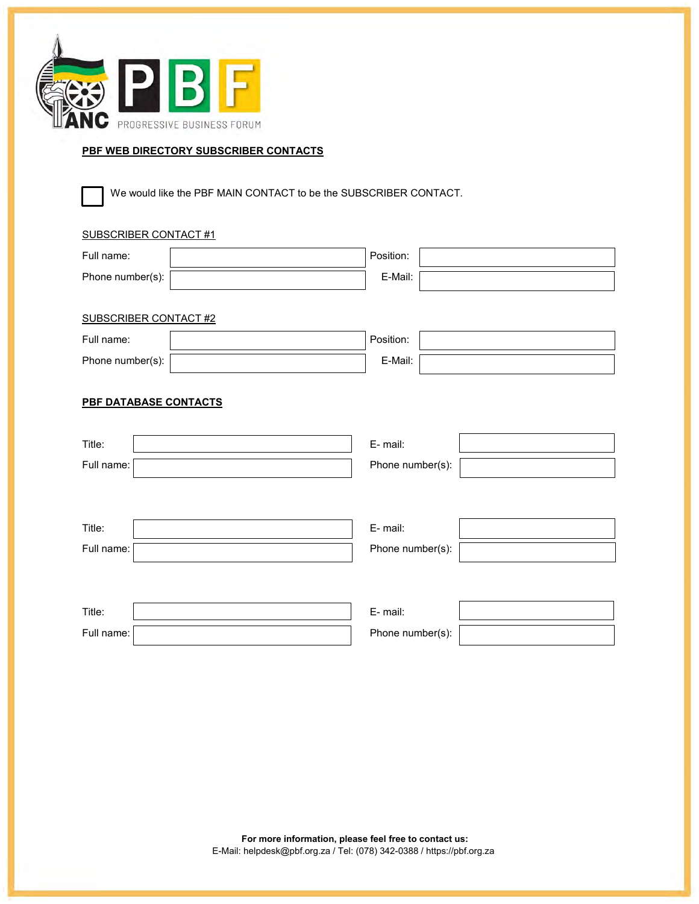

## **PBF WEB DIRECTORY SUBSCRIBER CONTACTS**

We would like the PBF MAIN CONTACT to be the SUBSCRIBER CONTACT.

## SUBSCRIBER CONTACT #1

| Full name:                   | Position:        |
|------------------------------|------------------|
| Phone number(s):             | E-Mail:          |
|                              |                  |
| <b>SUBSCRIBER CONTACT #2</b> |                  |
| Full name:                   | Position:        |
| Phone number(s):             | E-Mail:          |
|                              |                  |
| PBF DATABASE CONTACTS        |                  |
|                              |                  |
| Title:                       | E-mail:          |
| Full name:                   | Phone number(s): |
|                              |                  |
|                              |                  |
| Title:                       | E-mail:          |
| Full name:                   | Phone number(s): |
|                              |                  |
|                              |                  |
| Title:                       | E-mail:          |
| Full name:                   | Phone number(s): |